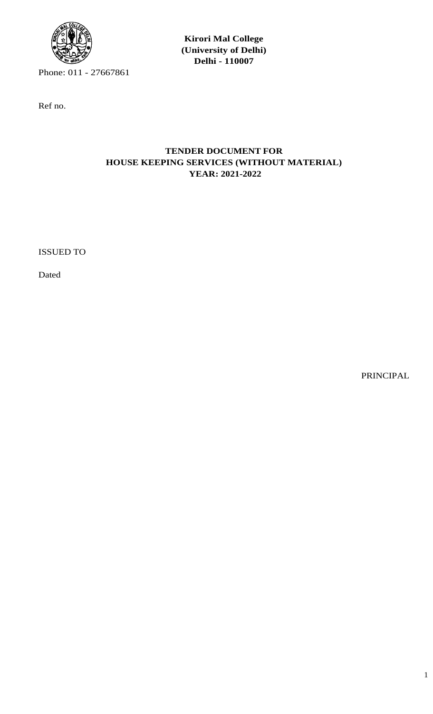

Phone: 011 - 27667861

Ref no.

# **Kirori Mal College (University of Delhi) Delhi - 110007**

# **TENDER DOCUMENT FOR HOUSE KEEPING SERVICES (WITHOUT MATERIAL) YEAR: 2021-2022**

ISSUED TO

Dated

PRINCIPAL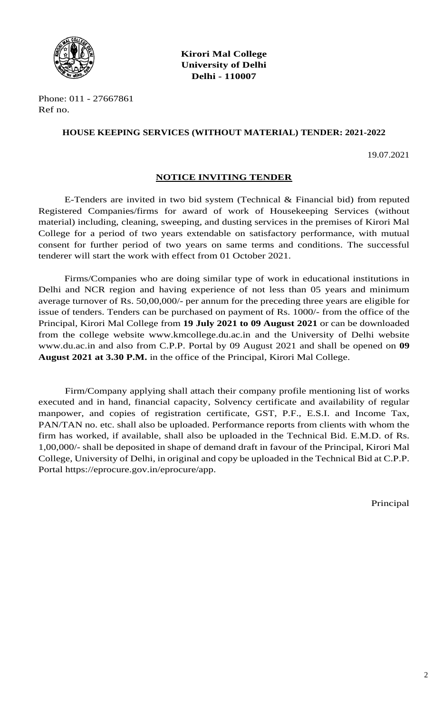

**Kirori Mal College University of Delhi Delhi - 110007**

Phone: 011 - 27667861 Ref no.

#### **HOUSE KEEPING SERVICES (WITHOUT MATERIAL) TENDER: 2021-2022**

19.07.2021

#### **NOTICE INVITING TENDER**

E-Tenders are invited in two bid system (Technical & Financial bid) from reputed Registered Companies/firms for award of work of Housekeeping Services (without material) including, cleaning, sweeping, and dusting services in the premises of Kirori Mal College for a period of two years extendable on satisfactory performance, with mutual consent for further period of two years on same terms and conditions. The successful tenderer will start the work with effect from 01 October 2021.

Firms/Companies who are doing similar type of work in educational institutions in Delhi and NCR region and having experience of not less than 05 years and minimum average turnover of Rs. 50,00,000/- per annum for the preceding three years are eligible for issue of tenders. Tenders can be purchased on payment of Rs. 1000/- from the office of the Principal, Kirori Mal College from **19 July 2021 to 09 August 2021** or can be downloaded from the college website www.kmcollege.du.ac.in and the University of Delhi website www.du.ac.in and also from C.P.P. Portal by 09 August 2021 and shall be opened on **09 August 2021 at 3.30 P.M.** in the office of the Principal, Kirori Mal College.

Firm/Company applying shall attach their company profile mentioning list of works executed and in hand, financial capacity, Solvency certificate and availability of regular manpower, and copies of registration certificate, GST, P.F., E.S.I. and Income Tax, PAN/TAN no. etc. shall also be uploaded. Performance reports from clients with whom the firm has worked, if available, shall also be uploaded in the Technical Bid. E.M.D. of Rs. 1,00,000/- shall be deposited in shape of demand draft in favour of the Principal, Kirori Mal College, University of Delhi, in original and copy be uploaded in the Technical Bid at C.P.P. Portal https://eprocure.gov.in/eprocure/app.

Principal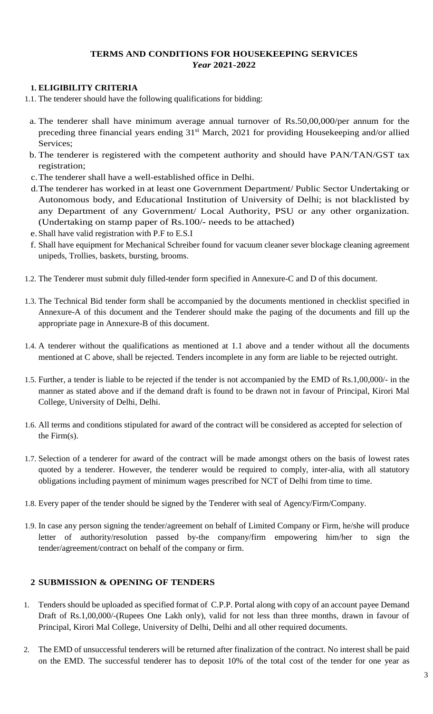## **TERMS AND CONDITIONS FOR HOUSEKEEPING SERVICES** *Year* **2021-2022**

### **1. ELIGIBILITY CRITERIA**

- 1.1. The tenderer should have the following qualifications for bidding:
- a. The tenderer shall have minimum average annual turnover of Rs.50,00,000/per annum for the preceding three financial years ending 31<sup>st</sup> March, 2021 for providing Housekeeping and/or allied Services;
- b. The tenderer is registered with the competent authority and should have PAN/TAN/GST tax registration;
- c.The tenderer shall have a well-established office in Delhi.
- d.The tenderer has worked in at least one Government Department/ Public Sector Undertaking or Autonomous body, and Educational Institution of University of Delhi; is not blacklisted by any Department of any Government/ Local Authority, PSU or any other organization. (Undertaking on stamp paper of Rs.100/- needs to be attached)
- e.Shall have valid registration with P.F to E.S.I
- f. Shall have equipment for Mechanical Schreiber found for vacuum cleaner sever blockage cleaning agreement unipeds, Trollies, baskets, bursting, brooms.
- 1.2. The Tenderer must submit duly filled-tender form specified in Annexure-C and D of this document.
- 1.3. The Technical Bid tender form shall be accompanied by the documents mentioned in checklist specified in Annexure-A of this document and the Tenderer should make the paging of the documents and fill up the appropriate page in Annexure-B of this document.
- 1.4. A tenderer without the qualifications as mentioned at 1.1 above and a tender without all the documents mentioned at C above, shall be rejected. Tenders incomplete in any form are liable to be rejected outright.
- 1.5. Further, a tender is liable to be rejected if the tender is not accompanied by the EMD of Rs.1,00,000/- in the manner as stated above and if the demand draft is found to be drawn not in favour of Principal, Kirori Mal College, University of Delhi, Delhi.
- 1.6. All terms and conditions stipulated for award of the contract will be considered as accepted for selection of the Firm(s).
- 1.7. Selection of a tenderer for award of the contract will be made amongst others on the basis of lowest rates quoted by a tenderer. However, the tenderer would be required to comply, inter-alia, with all statutory obligations including payment of minimum wages prescribed for NCT of Delhi from time to time.
- 1.8. Every paper of the tender should be signed by the Tenderer with seal of Agency/Firm/Company.
- 1.9. In case any person signing the tender/agreement on behalf of Limited Company or Firm, he/she will produce letter of authority/resolution passed by-the company/firm empowering him/her to sign the tender/agreement/contract on behalf of the company or firm.

## **2 SUBMISSION & OPENING OF TENDERS**

- 1. Tenders should be uploaded as specified format of C.P.P. Portal along with copy of an account payee Demand Draft of Rs.1,00,000/-(Rupees One Lakh only), valid for not less than three months, drawn in favour of Principal, Kirori Mal College, University of Delhi, Delhi and all other required documents.
- 2. The EMD of unsuccessful tenderers will be returned after finalization of the contract. No interest shall be paid on the EMD. The successful tenderer has to deposit 10% of the total cost of the tender for one year as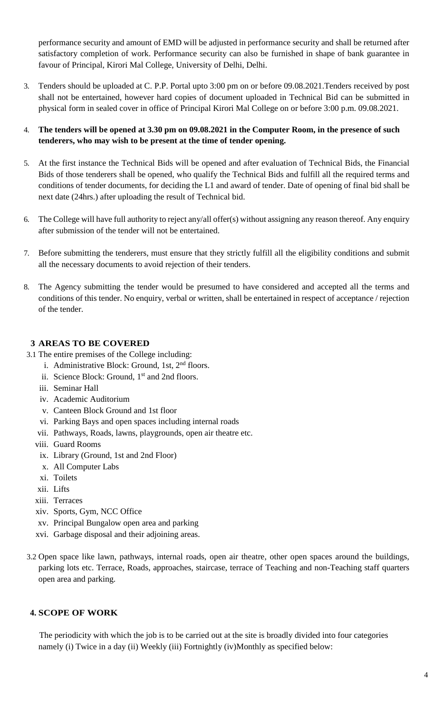performance security and amount of EMD will be adjusted in performance security and shall be returned after satisfactory completion of work. Performance security can also be furnished in shape of bank guarantee in favour of Principal, Kirori Mal College, University of Delhi, Delhi.

3. Tenders should be uploaded at C. P.P. Portal upto 3:00 pm on or before 09.08.2021.Tenders received by post shall not be entertained, however hard copies of document uploaded in Technical Bid can be submitted in physical form in sealed cover in office of Principal Kirori Mal College on or before 3:00 p.m. 09.08.2021.

## 4. **The tenders will be opened at 3.30 pm on 09.08.2021 in the Computer Room, in the presence of such tenderers, who may wish to be present at the time of tender opening.**

- 5. At the first instance the Technical Bids will be opened and after evaluation of Technical Bids, the Financial Bids of those tenderers shall be opened, who qualify the Technical Bids and fulfill all the required terms and conditions of tender documents, for deciding the L1 and award of tender. Date of opening of final bid shall be next date (24hrs.) after uploading the result of Technical bid.
- 6. The College will have full authority to reject any/all offer(s) without assigning any reason thereof. Any enquiry after submission of the tender will not be entertained.
- 7. Before submitting the tenderers, must ensure that they strictly fulfill all the eligibility conditions and submit all the necessary documents to avoid rejection of their tenders.
- 8. The Agency submitting the tender would be presumed to have considered and accepted all the terms and conditions of this tender. No enquiry, verbal or written, shall be entertained in respect of acceptance / rejection of the tender.

## **3 AREAS TO BE COVERED**

- 3.1 The entire premises of the College including:
	- i. Administrative Block: Ground, 1st, 2<sup>nd</sup> floors.
	- ii. Science Block: Ground, 1<sup>st</sup> and 2nd floors.
	- iii. Seminar Hall
	- iv. Academic Auditorium
	- v. Canteen Block Ground and 1st floor
	- vi. Parking Bays and open spaces including internal roads
	- vii. Pathways, Roads, lawns, playgrounds, open air theatre etc.
	- viii. Guard Rooms
	- ix. Library (Ground, 1st and 2nd Floor)
	- x. All Computer Labs
	- xi. Toilets
	- xii. Lifts
	- xiii. Terraces
	- xiv. Sports, Gym, NCC Office
	- xv. Principal Bungalow open area and parking
	- xvi. Garbage disposal and their adjoining areas.
- 3.2 Open space like lawn, pathways, internal roads, open air theatre, other open spaces around the buildings, parking lots etc. Terrace, Roads, approaches, staircase, terrace of Teaching and non-Teaching staff quarters open area and parking.

# **4. SCOPE OF WORK**

The periodicity with which the job is to be carried out at the site is broadly divided into four categories namely (i) Twice in a day (ii) Weekly (iii) Fortnightly (iv)Monthly as specified below: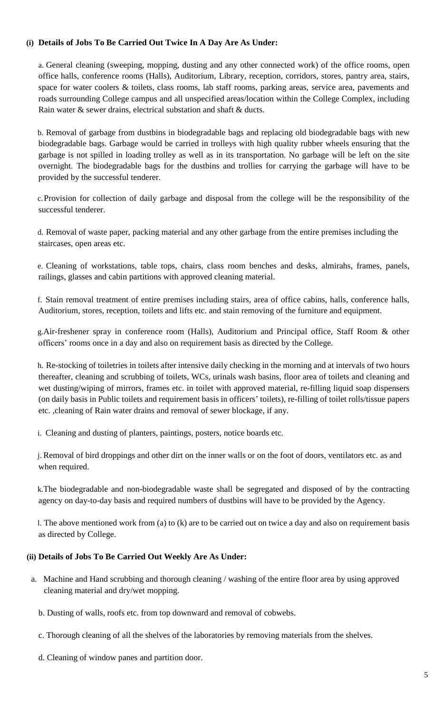### **(i) Details of Jobs To Be Carried Out Twice In A Day Are As Under:**

a. General cleaning (sweeping, mopping, dusting and any other connected work) of the office rooms, open office halls, conference rooms (Halls), Auditorium, Library, reception, corridors, stores, pantry area, stairs, space for water coolers & toilets, class rooms, lab staff rooms, parking areas, service area, pavements and roads surrounding College campus and all unspecified areas/location within the College Complex, including Rain water & sewer drains, electrical substation and shaft & ducts.

b. Removal of garbage from dustbins in biodegradable bags and replacing old biodegradable bags with new biodegradable bags. Garbage would be carried in trolleys with high quality rubber wheels ensuring that the garbage is not spilled in loading trolley as well as in its transportation. No garbage will be left on the site overnight. The biodegradable bags for the dustbins and trollies for carrying the garbage will have to be provided by the successful tenderer.

c.Provision for collection of daily garbage and disposal from the college will be the responsibility of the successful tenderer.

d. Removal of waste paper, packing material and any other garbage from the entire premises including the staircases, open areas etc.

e. Cleaning of workstations, table tops, chairs, class room benches and desks, almirahs, frames, panels, railings, glasses and cabin partitions with approved cleaning material.

f. Stain removal treatment of entire premises including stairs, area of office cabins, halls, conference halls, Auditorium, stores, reception, toilets and lifts etc. and stain removing of the furniture and equipment.

g.Air-freshener spray in conference room (Halls), Auditorium and Principal office, Staff Room & other officers' rooms once in a day and also on requirement basis as directed by the College.

h. Re-stocking of toiletries in toilets after intensive daily checking in the morning and at intervals of two hours thereafter, cleaning and scrubbing of toilets, WCs, urinals wash basins, floor area of toilets and cleaning and wet dusting/wiping of mirrors, frames etc. in toilet with approved material, re-filling liquid soap dispensers (on daily basis in Public toilets and requirement basis in officers' toilets), re-filling of toilet rolls/tissue papers etc. ,cleaning of Rain water drains and removal of sewer blockage, if any.

i. Cleaning and dusting of planters, paintings, posters, notice boards etc.

j. Removal of bird droppings and other dirt on the inner walls or on the foot of doors, ventilators etc. as and when required.

k.The biodegradable and non-biodegradable waste shall be segregated and disposed of by the contracting agency on day-to-day basis and required numbers of dustbins will have to be provided by the Agency.

l. The above mentioned work from (a) to (k) are to be carried out on twice a day and also on requirement basis as directed by College.

## **(ii) Details of Jobs To Be Carried Out Weekly Are As Under:**

- a. Machine and Hand scrubbing and thorough cleaning / washing of the entire floor area by using approved cleaning material and dry/wet mopping.
	- b. Dusting of walls, roofs etc. from top downward and removal of cobwebs.
	- c. Thorough cleaning of all the shelves of the laboratories by removing materials from the shelves.
	- d. Cleaning of window panes and partition door.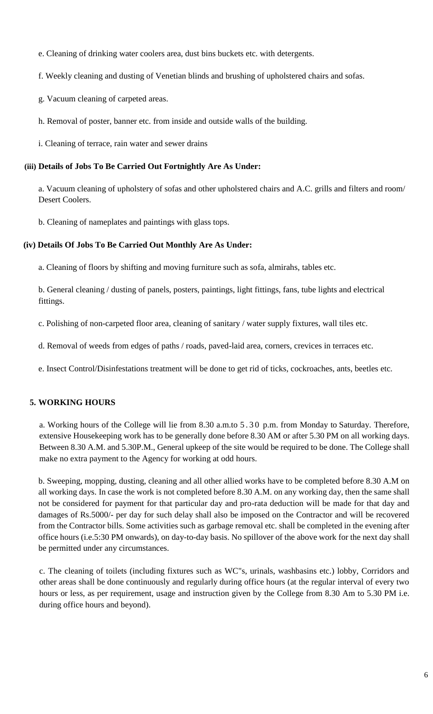- e. Cleaning of drinking water coolers area, dust bins buckets etc. with detergents.
- f. Weekly cleaning and dusting of Venetian blinds and brushing of upholstered chairs and sofas.
- g. Vacuum cleaning of carpeted areas.
- h. Removal of poster, banner etc. from inside and outside walls of the building.
- i. Cleaning of terrace, rain water and sewer drains

## **(iii) Details of Jobs To Be Carried Out Fortnightly Are As Under:**

a. Vacuum cleaning of upholstery of sofas and other upholstered chairs and A.C. grills and filters and room/ Desert Coolers.

b. Cleaning of nameplates and paintings with glass tops.

## **(iv) Details Of Jobs To Be Carried Out Monthly Are As Under:**

a. Cleaning of floors by shifting and moving furniture such as sofa, almirahs, tables etc.

b. General cleaning / dusting of panels, posters, paintings, light fittings, fans, tube lights and electrical fittings.

c. Polishing of non-carpeted floor area, cleaning of sanitary / water supply fixtures, wall tiles etc.

d. Removal of weeds from edges of paths / roads, paved-laid area, corners, crevices in terraces etc.

e. Insect Control/Disinfestations treatment will be done to get rid of ticks, cockroaches, ants, beetles etc.

# **5. WORKING HOURS**

a. Working hours of the College will lie from 8.30 a.m.to 5.30 p.m. from Monday to Saturday. Therefore, extensive Housekeeping work has to be generally done before 8.30 AM or after 5.30 PM on all working days. Between 8.30 A.M. and 5.30P.M., General upkeep of the site would be required to be done. The College shall make no extra payment to the Agency for working at odd hours.

b. Sweeping, mopping, dusting, cleaning and all other allied works have to be completed before 8.30 A.M on all working days. In case the work is not completed before 8.30 A.M. on any working day, then the same shall not be considered for payment for that particular day and pro-rata deduction will be made for that day and damages of Rs.5000/- per day for such delay shall also be imposed on the Contractor and will be recovered from the Contractor bills. Some activities such as garbage removal etc. shall be completed in the evening after office hours (i.e.5:30 PM onwards), on day-to-day basis. No spillover of the above work for the next day shall be permitted under any circumstances.

c. The cleaning of toilets (including fixtures such as WC"s, urinals, washbasins etc.) lobby, Corridors and other areas shall be done continuously and regularly during office hours (at the regular interval of every two hours or less, as per requirement, usage and instruction given by the College from 8.30 Am to 5.30 PM i.e. during office hours and beyond).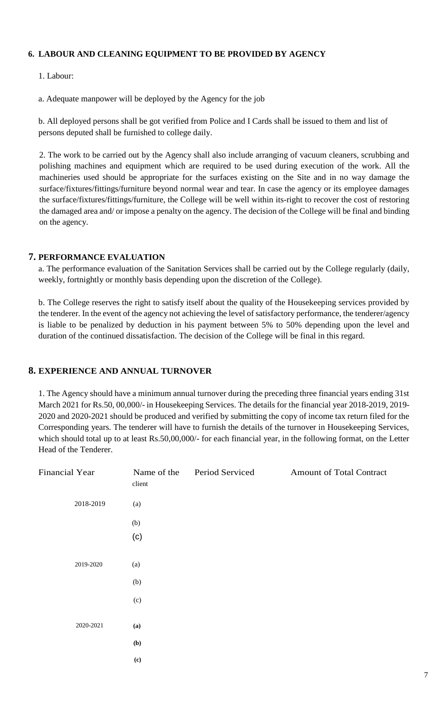### **6. LABOUR AND CLEANING EQUIPMENT TO BE PROVIDED BY AGENCY**

1. Labour:

a. Adequate manpower will be deployed by the Agency for the job

b. All deployed persons shall be got verified from Police and I Cards shall be issued to them and list of persons deputed shall be furnished to college daily.

2. The work to be carried out by the Agency shall also include arranging of vacuum cleaners, scrubbing and polishing machines and equipment which are required to be used during execution of the work. All the machineries used should be appropriate for the surfaces existing on the Site and in no way damage the surface/fixtures/fittings/furniture beyond normal wear and tear. In case the agency or its employee damages the surface/fixtures/fittings/furniture, the College will be well within its-right to recover the cost of restoring the damaged area and/ or impose a penalty on the agency. The decision of the College will be final and binding on the agency.

### **7. PERFORMANCE EVALUATION**

a. The performance evaluation of the Sanitation Services shall be carried out by the College regularly (daily, weekly, fortnightly or monthly basis depending upon the discretion of the College).

b. The College reserves the right to satisfy itself about the quality of the Housekeeping services provided by the tenderer. In the event of the agency not achieving the level of satisfactory performance, the tenderer/agency is liable to be penalized by deduction in his payment between 5% to 50% depending upon the level and duration of the continued dissatisfaction. The decision of the College will be final in this regard.

## **8. EXPERIENCE AND ANNUAL TURNOVER**

1. The Agency should have a minimum annual turnover during the preceding three financial years ending 31st March 2021 for Rs.50, 00,000/- in Housekeeping Services. The details for the financial year 2018-2019, 2019- 2020 and 2020-2021 should be produced and verified by submitting the copy of income tax return filed for the Corresponding years. The tenderer will have to furnish the details of the turnover in Housekeeping Services, which should total up to at least Rs.50,00,000/- for each financial year, in the following format, on the Letter Head of the Tenderer.

| <b>Financial Year</b> | Name of the<br>client      | Period Serviced | <b>Amount of Total Contract</b> |
|-----------------------|----------------------------|-----------------|---------------------------------|
| 2018-2019             | (a)                        |                 |                                 |
|                       | (b)                        |                 |                                 |
|                       | (c)                        |                 |                                 |
| 2019-2020             | (a)                        |                 |                                 |
|                       | (b)                        |                 |                                 |
|                       | (c)                        |                 |                                 |
| 2020-2021             | (a)                        |                 |                                 |
|                       | (b)                        |                 |                                 |
|                       | $\left( \mathbf{c}\right)$ |                 |                                 |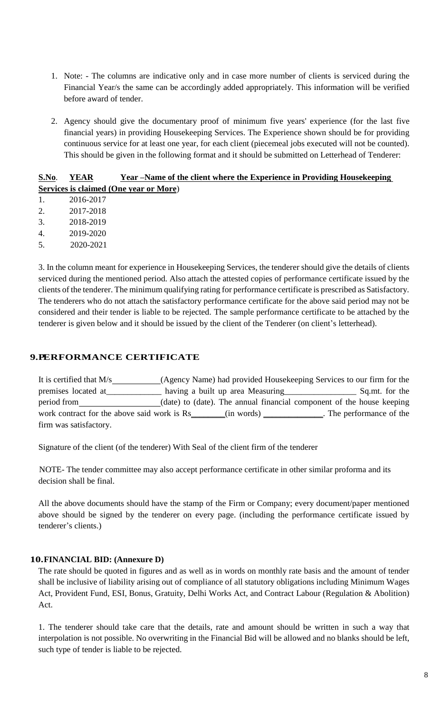- 1. Note: The columns are indicative only and in case more number of clients is serviced during the Financial Year/s the same can be accordingly added appropriately. This information will be verified before award of tender.
- 2. Agency should give the documentary proof of minimum five years' experience (for the last five financial years) in providing Housekeeping Services. The Experience shown should be for providing continuous service for at least one year, for each client (piecemeal jobs executed will not be counted). This should be given in the following format and it should be submitted on Letterhead of Tenderer:

## **S.No**. **YEAR Year –Name of the client where the Experience in Providing Housekeeping Services is claimed (One year or More**)

| -1. | 2016-2017 |
|-----|-----------|
| 2.  | 2017-2018 |
| 3.  | 2018-2019 |
| 4.  | 2019-2020 |
| .5. | 2020-2021 |

3. In the column meant for experience in Housekeeping Services, the tenderer should give the details of clients serviced during the mentioned period. Also attach the attested copies of performance certificate issued by the clients of the tenderer. The minimum qualifying rating for performance certificate is prescribed as Satisfactory. The tenderers who do not attach the satisfactory performance certificate for the above said period may not be considered and their tender is liable to be rejected. The sample performance certificate to be attached by the tenderer is given below and it should be issued by the client of the Tenderer (on client's letterhead).

# **9.PERFORMANCE CERTIFICATE**

| It is certified that M/s                    | (Agency Name) had provided Housekeeping Services to our firm for the  |                          |
|---------------------------------------------|-----------------------------------------------------------------------|--------------------------|
| premises located at                         | having a built up area Measuring                                      | Sq.mt. for the           |
| period from                                 | (date) to (date). The annual financial component of the house keeping |                          |
| work contract for the above said work is Rs | (in words)                                                            | . The performance of the |
| firm was satisfactory.                      |                                                                       |                          |

Signature of the client (of the tenderer) With Seal of the client firm of the tenderer

NOTE- The tender committee may also accept performance certificate in other similar proforma and its decision shall be final.

All the above documents should have the stamp of the Firm or Company; every document/paper mentioned above should be signed by the tenderer on every page. (including the performance certificate issued by tenderer's clients.)

## **10.FINANCIAL BID: (Annexure D)**

The rate should be quoted in figures and as well as in words on monthly rate basis and the amount of tender shall be inclusive of liability arising out of compliance of all statutory obligations including Minimum Wages Act, Provident Fund, ESI, Bonus, Gratuity, Delhi Works Act, and Contract Labour (Regulation & Abolition) Act.

1. The tenderer should take care that the details, rate and amount should be written in such a way that interpolation is not possible. No overwriting in the Financial Bid will be allowed and no blanks should be left, such type of tender is liable to be rejected.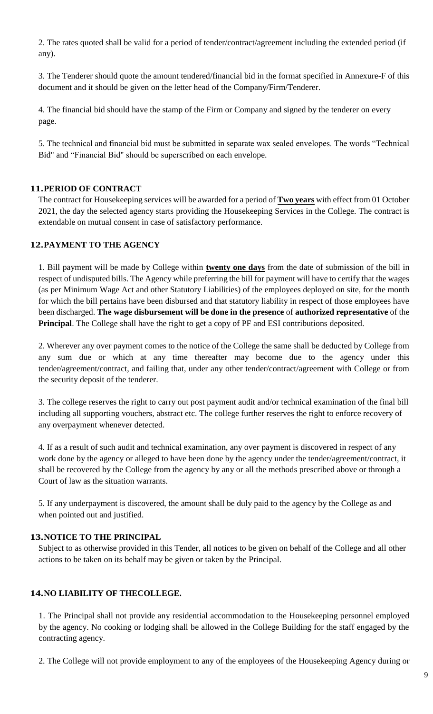2. The rates quoted shall be valid for a period of tender/contract/agreement including the extended period (if any).

3. The Tenderer should quote the amount tendered/financial bid in the format specified in Annexure-F of this document and it should be given on the letter head of the Company/Firm/Tenderer.

4. The financial bid should have the stamp of the Firm or Company and signed by the tenderer on every page.

5. The technical and financial bid must be submitted in separate wax sealed envelopes. The words "Technical Bid" and "Financial Bid" should be superscribed on each envelope.

## **11.PERIOD OF CONTRACT**

The contract for Housekeeping services will be awarded for a period of **Two years** with effect from 01 October 2021, the day the selected agency starts providing the Housekeeping Services in the College. The contract is extendable on mutual consent in case of satisfactory performance.

#### **12.PAYMENT TO THE AGENCY**

1. Bill payment will be made by College within **twenty one days** from the date of submission of the bill in respect of undisputed bills. The Agency while preferring the bill for payment will have to certify that the wages (as per Minimum Wage Act and other Statutory Liabilities) of the employees deployed on site, for the month for which the bill pertains have been disbursed and that statutory liability in respect of those employees have been discharged. **The wage disbursement will be done in the presence** of **authorized representative** of the **Principal**. The College shall have the right to get a copy of PF and ESI contributions deposited.

2. Wherever any over payment comes to the notice of the College the same shall be deducted by College from any sum due or which at any time thereafter may become due to the agency under this tender/agreement/contract, and failing that, under any other tender/contract/agreement with College or from the security deposit of the tenderer.

3. The college reserves the right to carry out post payment audit and/or technical examination of the final bill including all supporting vouchers, abstract etc. The college further reserves the right to enforce recovery of any overpayment whenever detected.

4. If as a result of such audit and technical examination, any over payment is discovered in respect of any work done by the agency or alleged to have been done by the agency under the tender/agreement/contract, it shall be recovered by the College from the agency by any or all the methods prescribed above or through a Court of law as the situation warrants.

5. If any underpayment is discovered, the amount shall be duly paid to the agency by the College as and when pointed out and justified.

#### **13.NOTICE TO THE PRINCIPAL**

Subject to as otherwise provided in this Tender, all notices to be given on behalf of the College and all other actions to be taken on its behalf may be given or taken by the Principal.

### **14.NO LIABILITY OF THECOLLEGE.**

1. The Principal shall not provide any residential accommodation to the Housekeeping personnel employed by the agency. No cooking or lodging shall be allowed in the College Building for the staff engaged by the contracting agency.

2. The College will not provide employment to any of the employees of the Housekeeping Agency during or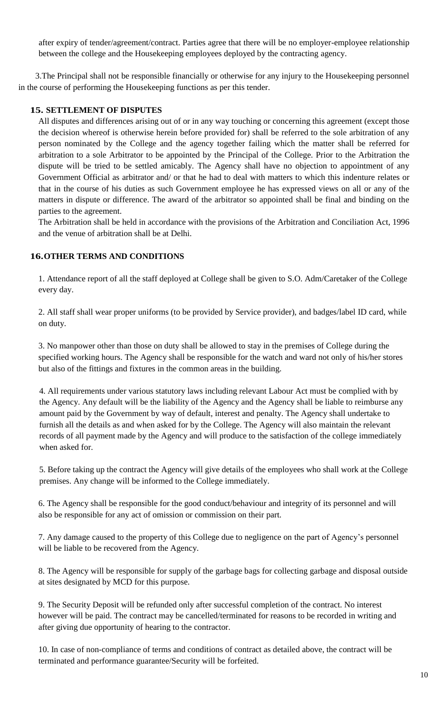after expiry of tender/agreement/contract. Parties agree that there will be no employer-employee relationship between the college and the Housekeeping employees deployed by the contracting agency.

 3.The Principal shall not be responsible financially or otherwise for any injury to the Housekeeping personnel in the course of performing the Housekeeping functions as per this tender.

## **15. SETTLEMENT OF DISPUTES**

All disputes and differences arising out of or in any way touching or concerning this agreement (except those the decision whereof is otherwise herein before provided for) shall be referred to the sole arbitration of any person nominated by the College and the agency together failing which the matter shall be referred for arbitration to a sole Arbitrator to be appointed by the Principal of the College. Prior to the Arbitration the dispute will be tried to be settled amicably. The Agency shall have no objection to appointment of any Government Official as arbitrator and/ or that he had to deal with matters to which this indenture relates or that in the course of his duties as such Government employee he has expressed views on all or any of the matters in dispute or difference. The award of the arbitrator so appointed shall be final and binding on the parties to the agreement.

The Arbitration shall be held in accordance with the provisions of the Arbitration and Conciliation Act, 1996 and the venue of arbitration shall be at Delhi.

## **16.OTHER TERMS AND CONDITIONS**

1. Attendance report of all the staff deployed at College shall be given to S.O. Adm/Caretaker of the College every day.

2. All staff shall wear proper uniforms (to be provided by Service provider), and badges/label ID card, while on duty.

3. No manpower other than those on duty shall be allowed to stay in the premises of College during the specified working hours. The Agency shall be responsible for the watch and ward not only of his/her stores but also of the fittings and fixtures in the common areas in the building.

4. All requirements under various statutory laws including relevant Labour Act must be complied with by the Agency. Any default will be the liability of the Agency and the Agency shall be liable to reimburse any amount paid by the Government by way of default, interest and penalty. The Agency shall undertake to furnish all the details as and when asked for by the College. The Agency will also maintain the relevant records of all payment made by the Agency and will produce to the satisfaction of the college immediately when asked for.

5. Before taking up the contract the Agency will give details of the employees who shall work at the College premises. Any change will be informed to the College immediately.

6. The Agency shall be responsible for the good conduct/behaviour and integrity of its personnel and will also be responsible for any act of omission or commission on their part.

7. Any damage caused to the property of this College due to negligence on the part of Agency's personnel will be liable to be recovered from the Agency.

8. The Agency will be responsible for supply of the garbage bags for collecting garbage and disposal outside at sites designated by MCD for this purpose.

9. The Security Deposit will be refunded only after successful completion of the contract. No interest however will be paid. The contract may be cancelled/terminated for reasons to be recorded in writing and after giving due opportunity of hearing to the contractor.

10. In case of non-compliance of terms and conditions of contract as detailed above, the contract will be terminated and performance guarantee/Security will be forfeited.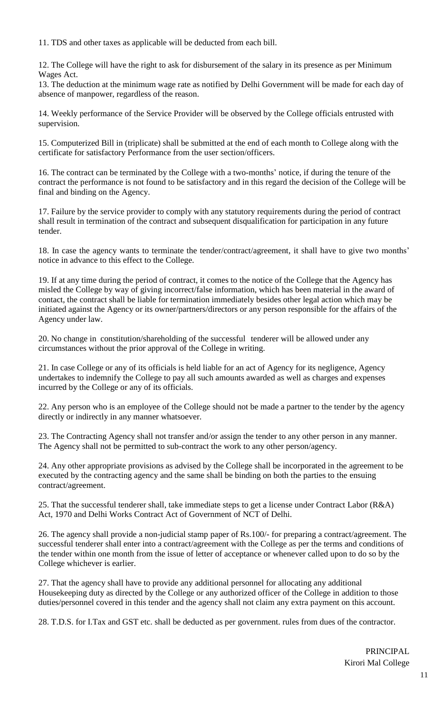11. TDS and other taxes as applicable will be deducted from each bill.

12. The College will have the right to ask for disbursement of the salary in its presence as per Minimum Wages Act.

13. The deduction at the minimum wage rate as notified by Delhi Government will be made for each day of absence of manpower, regardless of the reason.

14. Weekly performance of the Service Provider will be observed by the College officials entrusted with supervision.

15. Computerized Bill in (triplicate) shall be submitted at the end of each month to College along with the certificate for satisfactory Performance from the user section/officers.

16. The contract can be terminated by the College with a two-months' notice, if during the tenure of the contract the performance is not found to be satisfactory and in this regard the decision of the College will be final and binding on the Agency.

17. Failure by the service provider to comply with any statutory requirements during the period of contract shall result in termination of the contract and subsequent disqualification for participation in any future tender.

18. In case the agency wants to terminate the tender/contract/agreement, it shall have to give two months' notice in advance to this effect to the College.

19. If at any time during the period of contract, it comes to the notice of the College that the Agency has misled the College by way of giving incorrect/false information, which has been material in the award of contact, the contract shall be liable for termination immediately besides other legal action which may be initiated against the Agency or its owner/partners/directors or any person responsible for the affairs of the Agency under law.

20. No change in constitution/shareholding of the successful tenderer will be allowed under any circumstances without the prior approval of the College in writing.

21. In case College or any of its officials is held liable for an act of Agency for its negligence, Agency undertakes to indemnify the College to pay all such amounts awarded as well as charges and expenses incurred by the College or any of its officials.

22. Any person who is an employee of the College should not be made a partner to the tender by the agency directly or indirectly in any manner whatsoever.

23. The Contracting Agency shall not transfer and/or assign the tender to any other person in any manner. The Agency shall not be permitted to sub-contract the work to any other person/agency.

24. Any other appropriate provisions as advised by the College shall be incorporated in the agreement to be executed by the contracting agency and the same shall be binding on both the parties to the ensuing contract/agreement.

25. That the successful tenderer shall, take immediate steps to get a license under Contract Labor ( $R&A$ ) Act, 1970 and Delhi Works Contract Act of Government of NCT of Delhi.

26. The agency shall provide a non-judicial stamp paper of Rs.100/- for preparing a contract/agreement. The successful tenderer shall enter into a contract/agreement with the College as per the terms and conditions of the tender within one month from the issue of letter of acceptance or whenever called upon to do so by the College whichever is earlier.

27. That the agency shall have to provide any additional personnel for allocating any additional Housekeeping duty as directed by the College or any authorized officer of the College in addition to those duties/personnel covered in this tender and the agency shall not claim any extra payment on this account.

28. T.D.S. for I.Tax and GST etc. shall be deducted as per government. rules from dues of the contractor.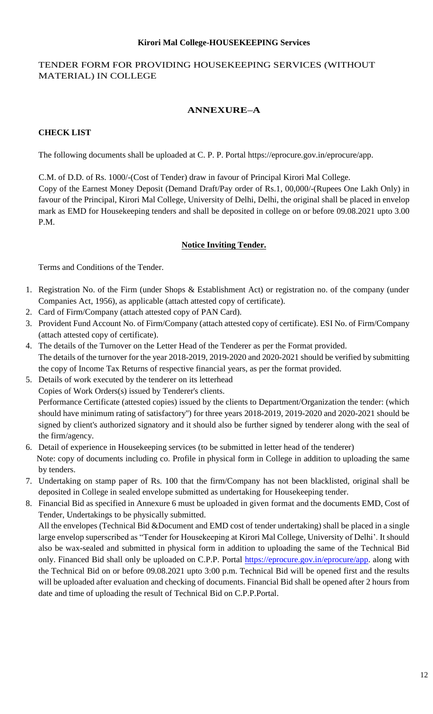#### **Kirori Mal College-HOUSEKEEPING Services**

## TENDER FORM FOR PROVIDING HOUSEKEEPING SERVICES (WITHOUT MATERIAL) IN COLLEGE

# **ANNEXURE–A**

# **CHECK LIST**

The following documents shall be uploaded at C. P. P. Portal https://eprocure.gov.in/eprocure/app.

C.M. of D.D. of Rs. 1000/-(Cost of Tender) draw in favour of Principal Kirori Mal College. Copy of the Earnest Money Deposit (Demand Draft/Pay order of Rs.1, 00,000/-(Rupees One Lakh Only) in favour of the Principal, Kirori Mal College, University of Delhi, Delhi, the original shall be placed in envelop mark as EMD for Housekeeping tenders and shall be deposited in college on or before 09.08.2021 upto 3.00 P.M.

# **Notice Inviting Tender.**

Terms and Conditions of the Tender.

- 1. Registration No. of the Firm (under Shops & Establishment Act) or registration no. of the company (under Companies Act, 1956), as applicable (attach attested copy of certificate).
- 2. Card of Firm/Company (attach attested copy of PAN Card).
- 3. Provident Fund Account No. of Firm/Company (attach attested copy of certificate). ESI No. of Firm/Company (attach attested copy of certificate).
- 4. The details of the Turnover on the Letter Head of the Tenderer as per the Format provided. The details of the turnover for the year 2018-2019, 2019-2020 and 2020-2021 should be verified by submitting the copy of Income Tax Returns of respective financial years, as per the format provided.
- 5. Details of work executed by the tenderer on its letterhead Copies of Work Orders(s) issued by Tenderer's clients. Performance Certificate (attested copies) issued by the clients to Department/Organization the tender: (which should have minimum rating of satisfactory'') for three years 2018-2019, 2019-2020 and 2020-2021 should be signed by client's authorized signatory and it should also be further signed by tenderer along with the seal of the firm/agency.
- 6. Detail of experience in Housekeeping services (to be submitted in letter head of the tenderer) Note: copy of documents including co. Profile in physical form in College in addition to uploading the same by tenders.
- 7. Undertaking on stamp paper of Rs. 100 that the firm/Company has not been blacklisted, original shall be deposited in College in sealed envelope submitted as undertaking for Housekeeping tender.
- 8. Financial Bid as specified in Annexure 6 must be uploaded in given format and the documents EMD, Cost of Tender, Undertakings to be physically submitted.

All the envelopes (Technical Bid &Document and EMD cost of tender undertaking) shall be placed in a single large envelop superscribed as "Tender for Housekeeping at Kirori Mal College, University of Delhi'. It should also be wax-sealed and submitted in physical form in addition to uploading the same of the Technical Bid only. Financed Bid shall only be uploaded on C.P.P. Portal [https://eprocure.gov.in/eprocure/app.](https://eprocure.gov.in/eprocure/app) along with the Technical Bid on or before 09.08.2021 upto 3:00 p.m. Technical Bid will be opened first and the results will be uploaded after evaluation and checking of documents. Financial Bid shall be opened after 2 hours from date and time of uploading the result of Technical Bid on C.P.P.Portal.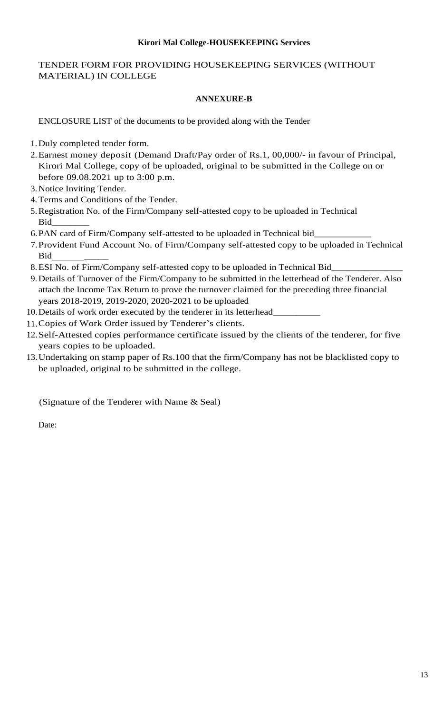#### **Kirori Mal College-HOUSEKEEPING Services**

## TENDER FORM FOR PROVIDING HOUSEKEEPING SERVICES (WITHOUT MATERIAL) IN COLLEGE

### **ANNEXURE-B**

ENCLOSURE LIST of the documents to be provided along with the Tender

- 1.Duly completed tender form.
- 2.Earnest money deposit (Demand Draft/Pay order of Rs.1, 00,000/- in favour of Principal, Kirori Mal College, copy of be uploaded, original to be submitted in the College on or before 09.08.2021 up to 3:00 p.m.
- 3.Notice Inviting Tender.
- 4.Terms and Conditions of the Tender.
- 5.Registration No. of the Firm/Company self-attested copy to be uploaded in Technical  $\operatorname{Bid}_-$
- 6.PAN card of Firm/Company self-attested to be uploaded in Technical bid\_
- 7.Provident Fund Account No. of Firm/Company self-attested copy to be uploaded in Technical Bid
- 8. ESI No. of Firm/Company self-attested copy to be uploaded in Technical Bid\_
- 9.Details of Turnover of the Firm/Company to be submitted in the letterhead of the Tenderer. Also attach the Income Tax Return to prove the turnover claimed for the preceding three financial years 2018-2019, 2019-2020, 2020-2021 to be uploaded
- 10. Details of work order executed by the tenderer in its letterhead\_
- 11.Copies of Work Order issued by Tenderer's clients.
- 12.Self-Attested copies performance certificate issued by the clients of the tenderer, for five years copies to be uploaded.
- 13.Undertaking on stamp paper of Rs.100 that the firm/Company has not be blacklisted copy to be uploaded, original to be submitted in the college.

(Signature of the Tenderer with Name & Seal)

Date: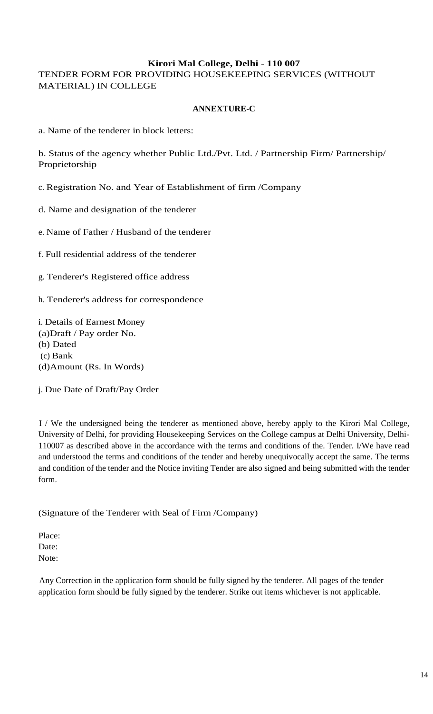## **Kirori Mal College, Delhi - 110 007**

TENDER FORM FOR PROVIDING HOUSEKEEPING SERVICES (WITHOUT MATERIAL) IN COLLEGE

### **ANNEXTURE-C**

a. Name of the tenderer in block letters:

b. Status of the agency whether Public Ltd./Pvt. Ltd. / Partnership Firm/ Partnership/ Proprietorship

c. Registration No. and Year of Establishment of firm /Company

d. Name and designation of the tenderer

e. Name of Father / Husband of the tenderer

f. Full residential address of the tenderer

g. Tenderer's Registered office address

h. Tenderer's address for correspondence

i. Details of Earnest Money (a)Draft / Pay order No. (b) Dated (c) Bank (d)Amount (Rs. In Words)

j. Due Date of Draft/Pay Order

I / We the undersigned being the tenderer as mentioned above, hereby apply to the Kirori Mal College, University of Delhi, for providing Housekeeping Services on the College campus at Delhi University, Delhi-110007 as described above in the accordance with the terms and conditions of the. Tender. I/We have read and understood the terms and conditions of the tender and hereby unequivocally accept the same. The terms and condition of the tender and the Notice inviting Tender are also signed and being submitted with the tender form.

## (Signature of the Tenderer with Seal of Firm /Company)

Place: Date: Note:

Any Correction in the application form should be fully signed by the tenderer. All pages of the tender application form should be fully signed by the tenderer. Strike out items whichever is not applicable.